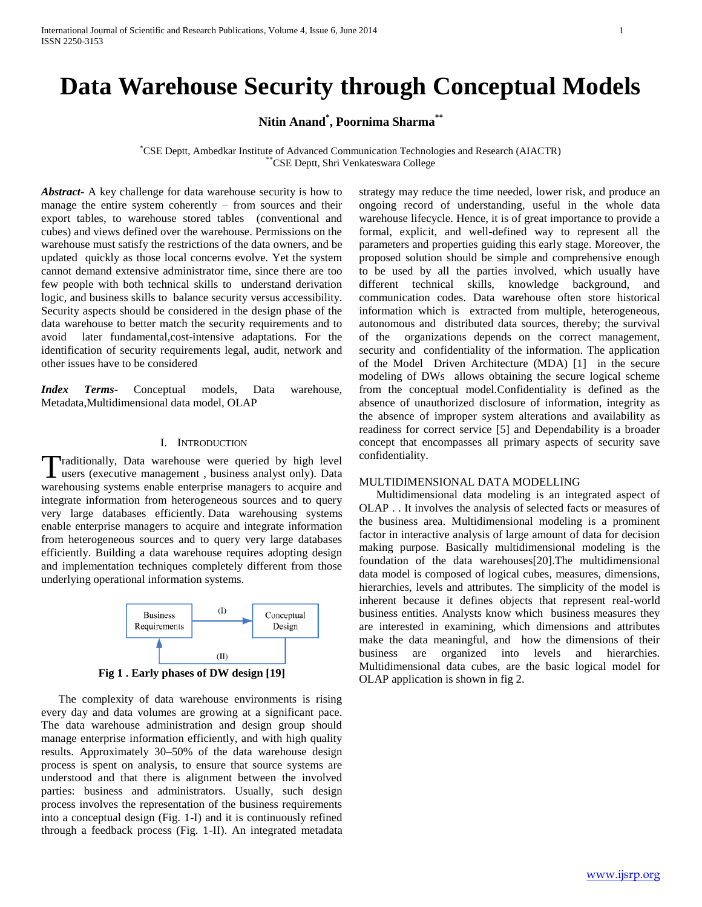# **Data Warehouse Security through Conceptual Models**

**Nitin Anand\* , Poornima Sharma\*\***

\*CSE Deptt, Ambedkar Institute of Advanced Communication Technologies and Research (AIACTR) \*\*CSE Deptt, Shri Venkateswara College

*Abstract***-** A key challenge for data warehouse security is how to manage the entire system coherently – from sources and their export tables, to warehouse stored tables (conventional and cubes) and views defined over the warehouse. Permissions on the warehouse must satisfy the restrictions of the data owners, and be updated quickly as those local concerns evolve. Yet the system cannot demand extensive administrator time, since there are too few people with both technical skills to understand derivation logic, and business skills to balance security versus accessibility. Security aspects should be considered in the design phase of the data warehouse to better match the security requirements and to avoid later fundamental,cost-intensive adaptations. For the identification of security requirements legal, audit, network and other issues have to be considered

*Index Terms*- Conceptual models, Data warehouse, Metadata,Multidimensional data model, OLAP

## I. INTRODUCTION

raditionally, Data warehouse were queried by high level Traditionally, Data warehouse were queried by high level users (executive management, business analyst only). Data warehousing systems enable enterprise managers to acquire and integrate information from heterogeneous sources and to query very large databases efficiently. Data warehousing systems enable enterprise managers to acquire and integrate information from heterogeneous sources and to query very large databases efficiently. Building a data warehouse requires adopting design and implementation techniques completely different from those underlying operational information systems.



**Fig 1 . Early phases of DW design [19]**

 The complexity of data warehouse environments is rising every day and data volumes are growing at a significant pace. The data warehouse administration and design group should manage enterprise information efficiently, and with high quality results. Approximately 30–50% of the data warehouse design process is spent on analysis, to ensure that source systems are understood and that there is alignment between the involved parties: business and administrators. Usually, such design process involves the representation of the business requirements into a conceptual design (Fig. 1-I) and it is continuously refined through a feedback process (Fig. 1-II). An integrated metadata strategy may reduce the time needed, lower risk, and produce an ongoing record of understanding, useful in the whole data warehouse lifecycle. Hence, it is of great importance to provide a formal, explicit, and well-defined way to represent all the parameters and properties guiding this early stage. Moreover, the proposed solution should be simple and comprehensive enough to be used by all the parties involved, which usually have different technical skills, knowledge background, and communication codes. Data warehouse often store historical information which is extracted from multiple, heterogeneous, autonomous and distributed data sources, thereby; the survival of the organizations depends on the correct management, security and confidentiality of the information. The application of the Model Driven Architecture (MDA) [1] in the secure modeling of DWs allows obtaining the secure logical scheme from the conceptual model.Confidentiality is defined as the absence of unauthorized disclosure of information, integrity as the absence of improper system alterations and availability as readiness for correct service [5] and Dependability is a broader concept that encompasses all primary aspects of security save confidentiality.

## MULTIDIMENSIONAL DATA MODELLING

 Multidimensional data modeling is an integrated aspect of OLAP . . It involves the analysis of selected facts or measures of the business area. Multidimensional modeling is a prominent factor in interactive analysis of large amount of data for decision making purpose. Basically multidimensional modeling is the foundation of the data warehouses[20].The multidimensional data model is composed of logical cubes, measures, dimensions, hierarchies, levels and attributes. The simplicity of the model is inherent because it defines objects that represent real-world business entities. Analysts know which business measures they are interested in examining, which dimensions and attributes make the data meaningful, and how the dimensions of their business are organized into levels and hierarchies. Multidimensional data cubes, are the basic logical model for OLAP application is shown in fig 2.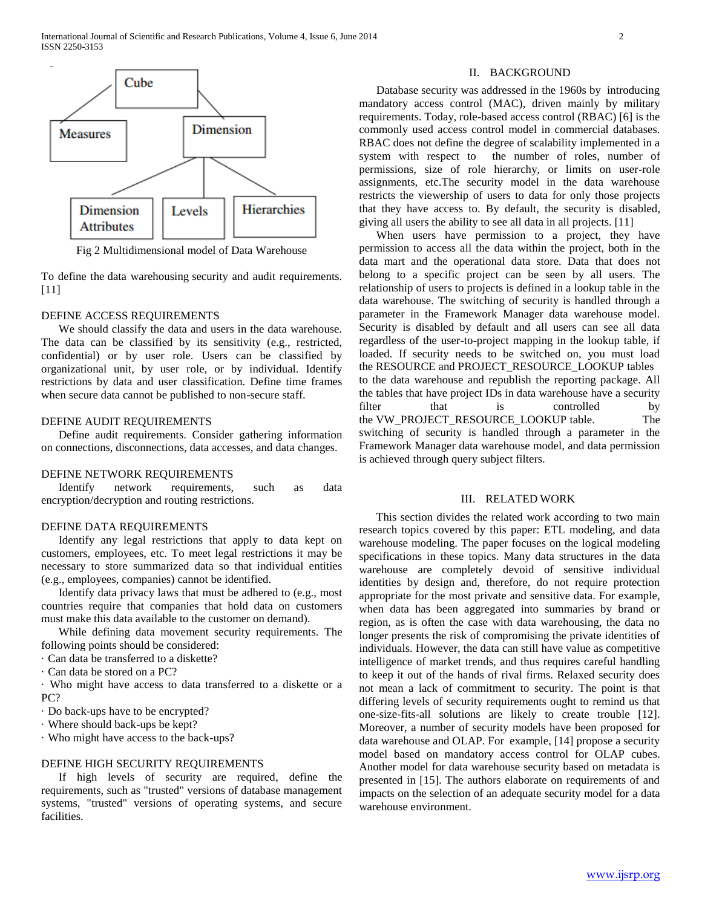

Fig 2 Multidimensional model of Data Warehouse

To define the data warehousing security and audit requirements. [11]

## DEFINE ACCESS REQUIREMENTS

 We should classify the data and users in the data warehouse. The data can be classified by its sensitivity (e.g., restricted, confidential) or by user role. Users can be classified by organizational unit, by user role, or by individual. Identify restrictions by data and user classification. Define time frames when secure data cannot be published to non-secure staff.

## DEFINE AUDIT REQUIREMENTS

 Define audit requirements. Consider gathering information on connections, disconnections, data accesses, and data changes.

#### DEFINE NETWORK REQUIREMENTS

 Identify network requirements, such as data encryption/decryption and routing restrictions.

#### DEFINE DATA REQUIREMENTS

 Identify any legal restrictions that apply to data kept on customers, employees, etc. To meet legal restrictions it may be necessary to store summarized data so that individual entities (e.g., employees, companies) cannot be identified.

 Identify data privacy laws that must be adhered to (e.g., most countries require that companies that hold data on customers must make this data available to the customer on demand).

 While defining data movement security requirements. The following points should be considered:

· Can data be transferred to a diskette?

· Can data be stored on a PC?

· Who might have access to data transferred to a diskette or a PC?

· Do back-ups have to be encrypted?

· Where should back-ups be kept?

· Who might have access to the back-ups?

#### DEFINE HIGH SECURITY REQUIREMENTS

 If high levels of security are required, define the requirements, such as "trusted" versions of database management systems, "trusted" versions of operating systems, and secure facilities.

## II. BACKGROUND

 Database security was addressed in the 1960s by introducing mandatory access control (MAC), driven mainly by military requirements. Today, role-based access control (RBAC) [6] is the commonly used access control model in commercial databases. RBAC does not define the degree of scalability implemented in a system with respect to the number of roles, number of permissions, size of role hierarchy, or limits on user-role assignments, etc.The security model in the data warehouse restricts the viewership of users to data for only those projects that they have access to. By default, the security is disabled, giving all users the ability to see all data in all projects. [11]

 When users have permission to a project, they have permission to access all the data within the project, both in the data mart and the operational data store. Data that does not belong to a specific project can be seen by all users. The relationship of users to projects is defined in a lookup table in the data warehouse. The switching of security is handled through a parameter in the Framework Manager data warehouse model. Security is disabled by default and all users can see all data regardless of the user-to-project mapping in the lookup table, if loaded. If security needs to be switched on, you must load the RESOURCE and PROJECT\_RESOURCE\_LOOKUP tables to the data warehouse and republish the reporting package. All the tables that have project IDs in data warehouse have a security filter that is controlled by the VW\_PROJECT\_RESOURCE\_LOOKUP table. The switching of security is handled through a parameter in the Framework Manager data warehouse model, and data permission is achieved through query subject filters.

## III. RELATED WORK

 This section divides the related work according to two main research topics covered by this paper: ETL modeling, and data warehouse modeling. The paper focuses on the logical modeling specifications in these topics. Many data structures in the data warehouse are completely devoid of sensitive individual identities by design and, therefore, do not require protection appropriate for the most private and sensitive data. For example, when data has been aggregated into summaries by brand or region, as is often the case with data warehousing, the data no longer presents the risk of compromising the private identities of individuals. However, the data can still have value as competitive intelligence of market trends, and thus requires careful handling to keep it out of the hands of rival firms. Relaxed security does not mean a lack of commitment to security. The point is that differing levels of security requirements ought to remind us that one-size-fits-all solutions are likely to create trouble [12]. Moreover, a number of security models have been proposed for data warehouse and OLAP. For example, [14] propose a security model based on mandatory access control for OLAP cubes. Another model for data warehouse security based on metadata is presented in [15]. The authors elaborate on requirements of and impacts on the selection of an adequate security model for a data warehouse environment.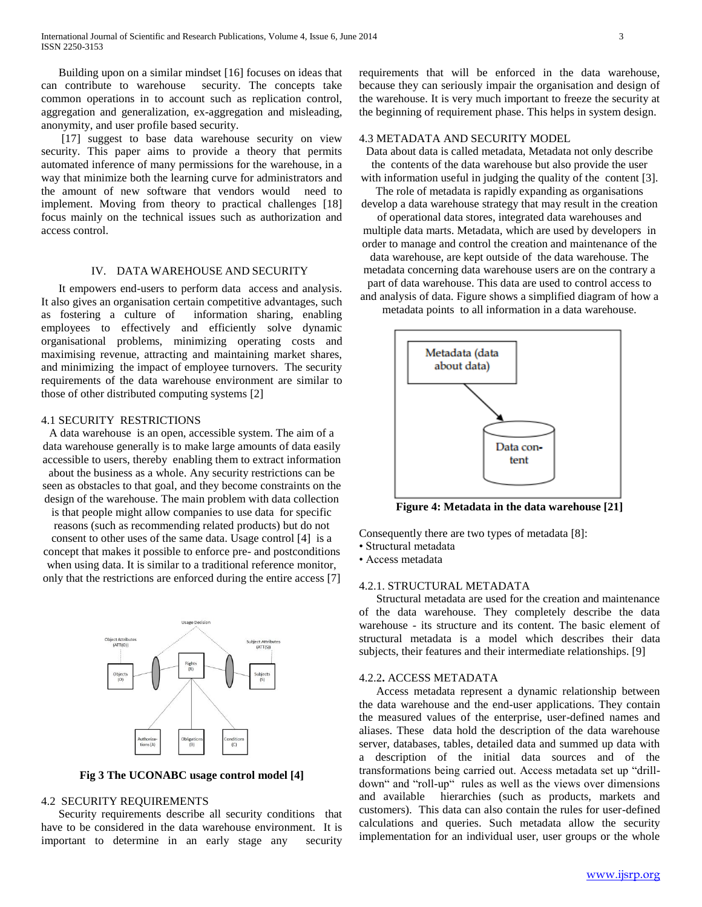Building upon on a similar mindset [16] focuses on ideas that can contribute to warehouse security. The concepts take common operations in to account such as replication control, aggregation and generalization, ex-aggregation and misleading, anonymity, and user profile based security.

 [17] suggest to base data warehouse security on view security. This paper aims to provide a theory that permits automated inference of many permissions for the warehouse, in a way that minimize both the learning curve for administrators and the amount of new software that vendors would need to implement. Moving from theory to practical challenges [18] focus mainly on the technical issues such as authorization and access control.

## IV. DATA WAREHOUSE AND SECURITY

 It empowers end-users to perform data access and analysis. It also gives an organisation certain competitive advantages, such as fostering a culture of information sharing, enabling employees to effectively and efficiently solve dynamic organisational problems, minimizing operating costs and maximising revenue, attracting and maintaining market shares, and minimizing the impact of employee turnovers. The security requirements of the data warehouse environment are similar to those of other distributed computing systems [2]

#### 4.1 SECURITY RESTRICTIONS

A data warehouse is an open, accessible system. The aim of a data warehouse generally is to make large amounts of data easily accessible to users, thereby enabling them to extract information about the business as a whole. Any security restrictions can be seen as obstacles to that goal, and they become constraints on the design of the warehouse. The main problem with data collection

is that people might allow companies to use data for specific reasons (such as recommending related products) but do not

consent to other uses of the same data. Usage control [4] is a concept that makes it possible to enforce pre- and postconditions when using data. It is similar to a traditional reference monitor, only that the restrictions are enforced during the entire access [7]



**Fig 3 The UCONABC usage control model [4]**

## 4.2 SECURITY REQUIREMENTS

 Security requirements describe all security conditions that have to be considered in the data warehouse environment. It is important to determine in an early stage any security

requirements that will be enforced in the data warehouse, because they can seriously impair the organisation and design of the warehouse. It is very much important to freeze the security at the beginning of requirement phase. This helps in system design.

## 4.3 METADATA AND SECURITY MODEL

Data about data is called metadata, Metadata not only describe the contents of the data warehouse but also provide the user

with information useful in judging the quality of the content [3]. The role of metadata is rapidly expanding as organisations

develop a data warehouse strategy that may result in the creation of operational data stores, integrated data warehouses and

multiple data marts. Metadata, which are used by developers in order to manage and control the creation and maintenance of the

data warehouse, are kept outside of the data warehouse. The metadata concerning data warehouse users are on the contrary a part of data warehouse. This data are used to control access to and analysis of data. Figure shows a simplified diagram of how a metadata points to all information in a data warehouse.



**Figure 4: Metadata in the data warehouse [21]**

Consequently there are two types of metadata [8]:

- Structural metadata
- Access metadata

## 4.2.1. STRUCTURAL METADATA

 Structural metadata are used for the creation and maintenance of the data warehouse. They completely describe the data warehouse - its structure and its content. The basic element of structural metadata is a model which describes their data subjects, their features and their intermediate relationships. [9]

#### 4.2.2**.** ACCESS METADATA

 Access metadata represent a dynamic relationship between the data warehouse and the end-user applications. They contain the measured values of the enterprise, user-defined names and aliases. These data hold the description of the data warehouse server, databases, tables, detailed data and summed up data with a description of the initial data sources and of the transformations being carried out. Access metadata set up "drilldown" and "roll-up" rules as well as the views over dimensions and available hierarchies (such as products, markets and customers). This data can also contain the rules for user-defined calculations and queries. Such metadata allow the security implementation for an individual user, user groups or the whole